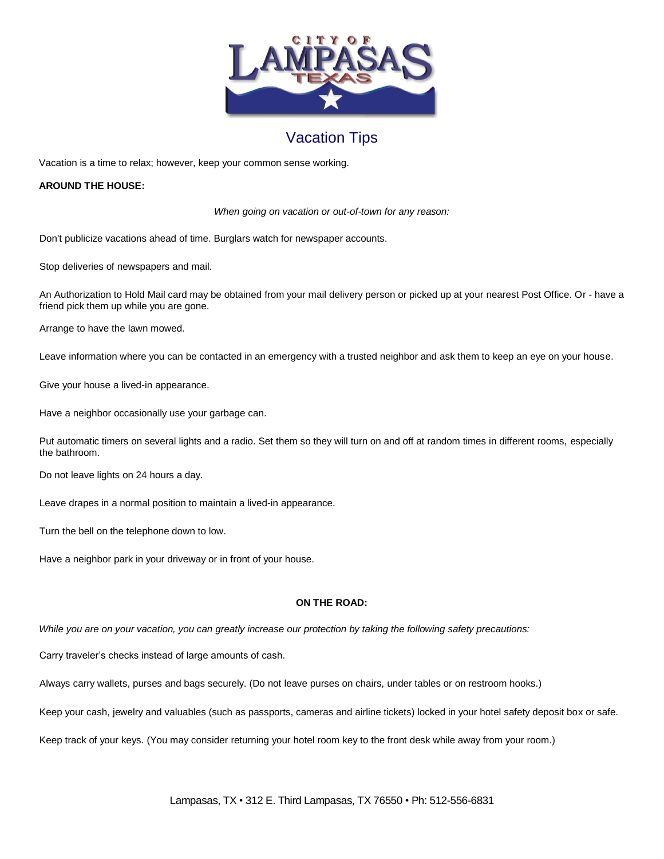

## Vacation Tips

Vacation is a time to relax; however, keep your common sense working.

## **AROUND THE HOUSE:**

*When going on vacation or out-of-town for any reason:*

Don't publicize vacations ahead of time. Burglars watch for newspaper accounts.

Stop deliveries of newspapers and mail.

 An Authorization to Hold Mail card may be obtained from your mail delivery person or picked up at your nearest Post Office. Or - have a friend pick them up while you are gone.

Arrange to have the lawn mowed.

Leave information where you can be contacted in an emergency with a trusted neighbor and ask them to keep an eye on your house.

Give your house a lived-in appearance.

Have a neighbor occasionally use your garbage can.

 Put automatic timers on several lights and a radio. Set them so they will turn on and off at random times in different rooms, especially the bathroom.

Do not leave lights on 24 hours a day.

Leave drapes in a normal position to maintain a lived-in appearance.

Turn the bell on the telephone down to low.

Have a neighbor park in your driveway or in front of your house.

## **ON THE ROAD:**

*While you are on your vacation, you can greatly increase our protection by taking the following safety precautions:*

Carry traveler's checks instead of large amounts of cash.

Always carry wallets, purses and bags securely. (Do not leave purses on chairs, under tables or on restroom hooks.)

Keep your cash, jewelry and valuables (such as passports, cameras and airline tickets) locked in your hotel safety deposit box or safe.

Keep track of your keys. (You may consider returning your hotel room key to the front desk while away from your room.)